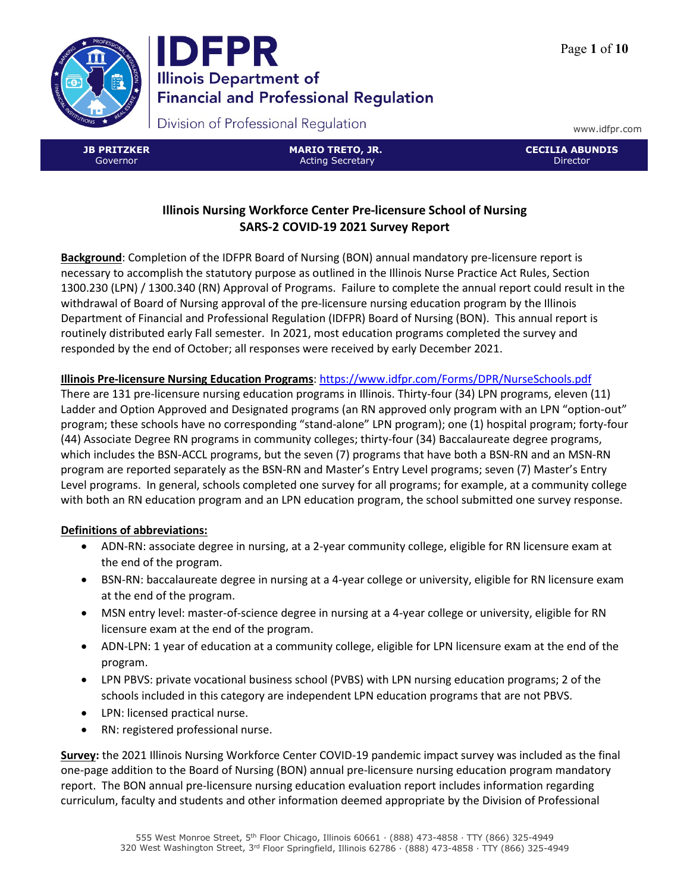



www.idfpr.com

**JB PRITZKER** Governor

**MARIO TRETO, JR.** Acting Secretary

**CECILIA ABUNDIS** Director

## **Illinois Nursing Workforce Center Pre-licensure School of Nursing SARS-2 COVID-19 2021 Survey Report**

**Background**: Completion of the IDFPR Board of Nursing (BON) annual mandatory pre-licensure report is necessary to accomplish the statutory purpose as outlined in the Illinois Nurse Practice Act Rules, Section 1300.230 (LPN) / 1300.340 (RN) Approval of Programs. Failure to complete the annual report could result in the withdrawal of Board of Nursing approval of the pre-licensure nursing education program by the Illinois Department of Financial and Professional Regulation (IDFPR) Board of Nursing (BON). This annual report is routinely distributed early Fall semester. In 2021, most education programs completed the survey and responded by the end of October; all responses were received by early December 2021.

## **Illinois Pre-licensure Nursing Education Programs**[: https://www.idfpr.com/Forms/DPR/NurseSchools.pdf](https://www.idfpr.com/Forms/DPR/NurseSchools.pdf)

There are 131 pre-licensure nursing education programs in Illinois. Thirty-four (34) LPN programs, eleven (11) Ladder and Option Approved and Designated programs (an RN approved only program with an LPN "option-out" program; these schools have no corresponding "stand-alone" LPN program); one (1) hospital program; forty-four (44) Associate Degree RN programs in community colleges; thirty-four (34) Baccalaureate degree programs, which includes the BSN-ACCL programs, but the seven (7) programs that have both a BSN-RN and an MSN-RN program are reported separately as the BSN-RN and Master's Entry Level programs; seven (7) Master's Entry Level programs. In general, schools completed one survey for all programs; for example, at a community college with both an RN education program and an LPN education program, the school submitted one survey response.

## **Definitions of abbreviations:**

- ADN-RN: associate degree in nursing, at a 2-year community college, eligible for RN licensure exam at the end of the program.
- BSN-RN: baccalaureate degree in nursing at a 4-year college or university, eligible for RN licensure exam at the end of the program.
- MSN entry level: master-of-science degree in nursing at a 4-year college or university, eligible for RN licensure exam at the end of the program.
- ADN-LPN: 1 year of education at a community college, eligible for LPN licensure exam at the end of the program.
- LPN PBVS: private vocational business school (PVBS) with LPN nursing education programs; 2 of the schools included in this category are independent LPN education programs that are not PBVS.
- LPN: licensed practical nurse.
- RN: registered professional nurse.

**Survey:** the 2021 Illinois Nursing Workforce Center COVID-19 pandemic impact survey was included as the final one-page addition to the Board of Nursing (BON) annual pre-licensure nursing education program mandatory report. The BON annual pre-licensure nursing education evaluation report includes information regarding curriculum, faculty and students and other information deemed appropriate by the Division of Professional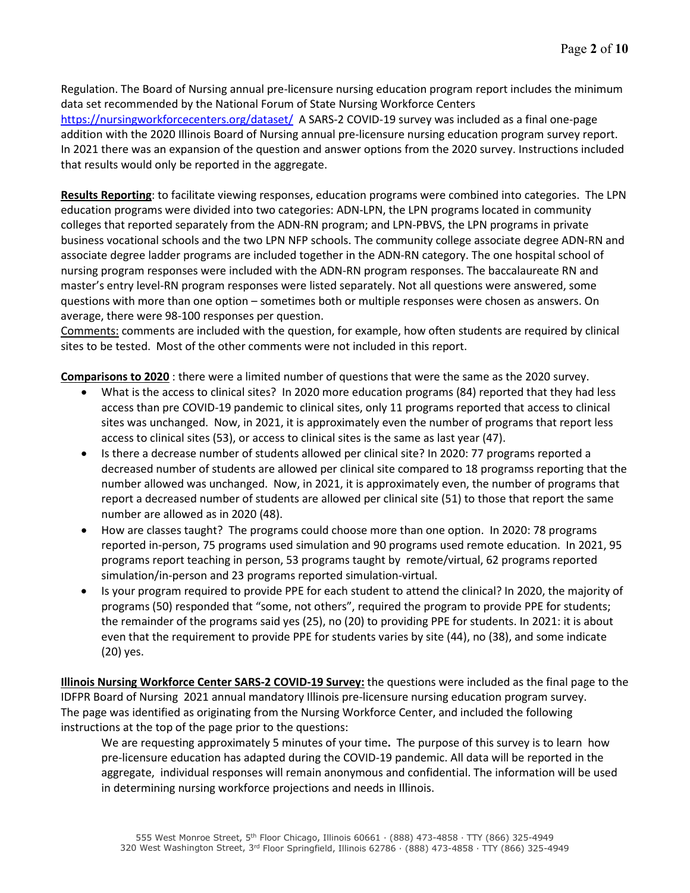Regulation. The Board of Nursing annual pre-licensure nursing education program report includes the minimum data set recommended by the National Forum of State Nursing Workforce Centers <https://nursingworkforcecenters.org/dataset/>A SARS-2 COVID-19 survey was included as a final one-page addition with the 2020 Illinois Board of Nursing annual pre-licensure nursing education program survey report. In 2021 there was an expansion of the question and answer options from the 2020 survey. Instructions included that results would only be reported in the aggregate.

**Results Reporting**: to facilitate viewing responses, education programs were combined into categories. The LPN education programs were divided into two categories: ADN-LPN, the LPN programs located in community colleges that reported separately from the ADN-RN program; and LPN-PBVS, the LPN programs in private business vocational schools and the two LPN NFP schools. The community college associate degree ADN-RN and associate degree ladder programs are included together in the ADN-RN category. The one hospital school of nursing program responses were included with the ADN-RN program responses. The baccalaureate RN and master's entry level-RN program responses were listed separately. Not all questions were answered, some questions with more than one option – sometimes both or multiple responses were chosen as answers. On average, there were 98-100 responses per question.

Comments: comments are included with the question, for example, how often students are required by clinical sites to be tested. Most of the other comments were not included in this report.

**Comparisons to 2020** : there were a limited number of questions that were the same as the 2020 survey.

- What is the access to clinical sites? In 2020 more education programs (84) reported that they had less access than pre COVID-19 pandemic to clinical sites, only 11 programs reported that access to clinical sites was unchanged. Now, in 2021, it is approximately even the number of programs that report less access to clinical sites (53), or access to clinical sites is the same as last year (47).
- Is there a decrease number of students allowed per clinical site? In 2020: 77 programs reported a decreased number of students are allowed per clinical site compared to 18 programss reporting that the number allowed was unchanged. Now, in 2021, it is approximately even, the number of programs that report a decreased number of students are allowed per clinical site (51) to those that report the same number are allowed as in 2020 (48).
- How are classes taught? The programs could choose more than one option. In 2020: 78 programs reported in-person, 75 programs used simulation and 90 programs used remote education. In 2021, 95 programs report teaching in person, 53 programs taught by remote/virtual, 62 programs reported simulation/in-person and 23 programs reported simulation-virtual.
- Is your program required to provide PPE for each student to attend the clinical? In 2020, the majority of programs (50) responded that "some, not others", required the program to provide PPE for students; the remainder of the programs said yes (25), no (20) to providing PPE for students. In 2021: it is about even that the requirement to provide PPE for students varies by site (44), no (38), and some indicate (20) yes.

**Illinois Nursing Workforce Center SARS-2 COVID-19 Survey:** the questions were included as the final page to the IDFPR Board of Nursing 2021 annual mandatory Illinois pre-licensure nursing education program survey. The page was identified as originating from the Nursing Workforce Center, and included the following instructions at the top of the page prior to the questions:

We are requesting approximately 5 minutes of your time**.** The purpose of this survey is to learn how pre-licensure education has adapted during the COVID-19 pandemic. All data will be reported in the aggregate, individual responses will remain anonymous and confidential. The information will be used in determining nursing workforce projections and needs in Illinois.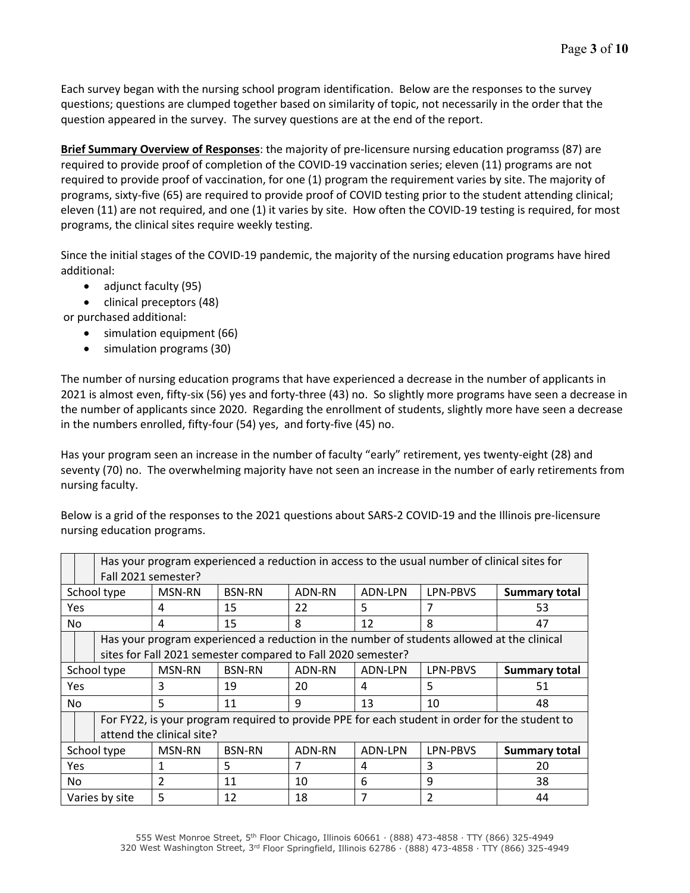Each survey began with the nursing school program identification. Below are the responses to the survey questions; questions are clumped together based on similarity of topic, not necessarily in the order that the question appeared in the survey. The survey questions are at the end of the report.

**Brief Summary Overview of Responses**: the majority of pre-licensure nursing education programss (87) are required to provide proof of completion of the COVID-19 vaccination series; eleven (11) programs are not required to provide proof of vaccination, for one (1) program the requirement varies by site. The majority of programs, sixty-five (65) are required to provide proof of COVID testing prior to the student attending clinical; eleven (11) are not required, and one (1) it varies by site. How often the COVID-19 testing is required, for most programs, the clinical sites require weekly testing.

Since the initial stages of the COVID-19 pandemic, the majority of the nursing education programs have hired additional:

- adjunct faculty (95)
- clinical preceptors (48)

or purchased additional:

- simulation equipment (66)
- simulation programs (30)

The number of nursing education programs that have experienced a decrease in the number of applicants in 2021 is almost even, fifty-six (56) yes and forty-three (43) no. So slightly more programs have seen a decrease in the number of applicants since 2020. Regarding the enrollment of students, slightly more have seen a decrease in the numbers enrolled, fifty-four (54) yes, and forty-five (45) no.

Has your program seen an increase in the number of faculty "early" retirement, yes twenty-eight (28) and seventy (70) no. The overwhelming majority have not seen an increase in the number of early retirements from nursing faculty.

Below is a grid of the responses to the 2021 questions about SARS-2 COVID-19 and the Illinois pre-licensure nursing education programs.

|             | Has your program experienced a reduction in access to the usual number of clinical sites for<br>Fall 2021 semester?                                        |               |               |        |         |               |                      |  |  |  |
|-------------|------------------------------------------------------------------------------------------------------------------------------------------------------------|---------------|---------------|--------|---------|---------------|----------------------|--|--|--|
|             | School type                                                                                                                                                | <b>MSN-RN</b> | <b>BSN-RN</b> | ADN-RN | ADN-LPN | LPN-PBVS      | Summary total        |  |  |  |
| Yes         |                                                                                                                                                            | 4             | 15            | 22     | 5       | 7             | 53                   |  |  |  |
| No          |                                                                                                                                                            | 4             | 15            | 8      | 12      | 8             | 47                   |  |  |  |
|             | Has your program experienced a reduction in the number of students allowed at the clinical<br>sites for Fall 2021 semester compared to Fall 2020 semester? |               |               |        |         |               |                      |  |  |  |
|             | School type                                                                                                                                                | MSN-RN        | <b>BSN-RN</b> | ADN-RN | ADN-LPN | LPN-PBVS      | <b>Summary total</b> |  |  |  |
| Yes         |                                                                                                                                                            | 3             | 19            | 20     | 4       | 5             | 51                   |  |  |  |
| No.         |                                                                                                                                                            | 5             | 11            | 9      | 13      | 10            | 48                   |  |  |  |
|             | For FY22, is your program required to provide PPE for each student in order for the student to<br>attend the clinical site?                                |               |               |        |         |               |                      |  |  |  |
| School type |                                                                                                                                                            | <b>MSN-RN</b> | <b>BSN-RN</b> | ADN-RN | ADN-LPN | LPN-PBVS      | <b>Summary total</b> |  |  |  |
| Yes         |                                                                                                                                                            | 1             | 5             | 7      | 4       | 3             | 20                   |  |  |  |
| No          |                                                                                                                                                            | $\mathcal{P}$ | 11            | 10     | 6       | 9             | 38                   |  |  |  |
|             | Varies by site                                                                                                                                             | 5             | 12            | 18     | 7       | $\mathcal{P}$ | 44                   |  |  |  |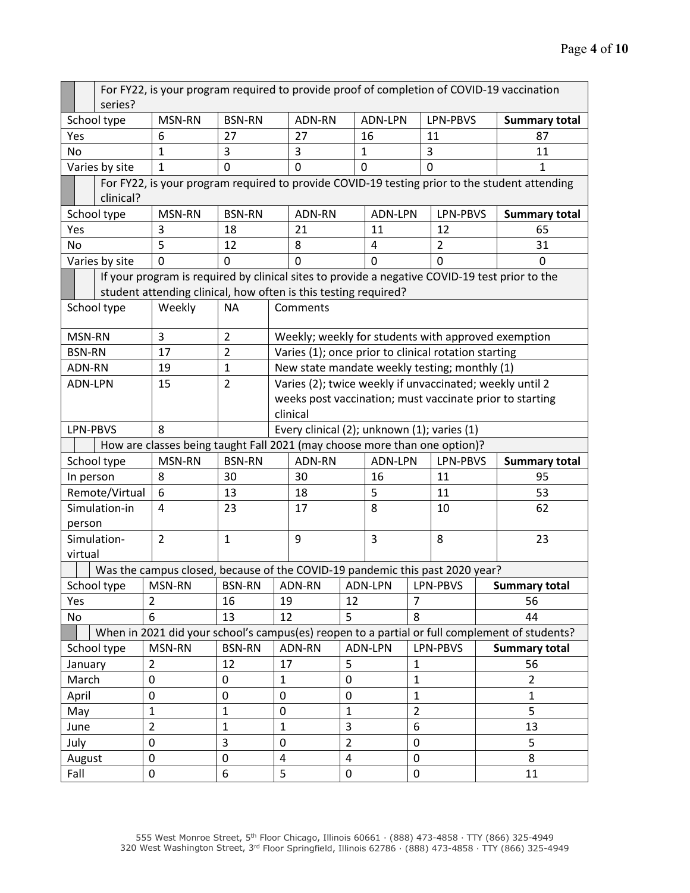|                       | For FY22, is your program required to provide proof of completion of COVID-19 vaccination |                                                                                                                                                                   |                |                                                                                                                      |                                                      |                |              |                |                |                      |                                                                                               |  |
|-----------------------|-------------------------------------------------------------------------------------------|-------------------------------------------------------------------------------------------------------------------------------------------------------------------|----------------|----------------------------------------------------------------------------------------------------------------------|------------------------------------------------------|----------------|--------------|----------------|----------------|----------------------|-----------------------------------------------------------------------------------------------|--|
|                       | series?                                                                                   |                                                                                                                                                                   |                |                                                                                                                      |                                                      |                |              |                |                |                      |                                                                                               |  |
|                       | School type                                                                               | MSN-RN                                                                                                                                                            | <b>BSN-RN</b>  |                                                                                                                      | ADN-RN                                               |                | ADN-LPN      |                | LPN-PBVS       |                      | <b>Summary total</b>                                                                          |  |
| Yes                   |                                                                                           | 6                                                                                                                                                                 | 27             |                                                                                                                      | 27                                                   |                | 16           |                | 11             |                      | 87                                                                                            |  |
| No                    |                                                                                           | $\mathbf{1}$                                                                                                                                                      | 3              |                                                                                                                      | 3<br>0                                               |                | $\mathbf{1}$ |                | 3              |                      | 11                                                                                            |  |
|                       | Varies by site                                                                            | $\mathbf{1}$                                                                                                                                                      |                | $\mathbf 0$                                                                                                          |                                                      | $\overline{0}$ |              |                | $\mathbf 0$    |                      | 1                                                                                             |  |
|                       | clinical?                                                                                 |                                                                                                                                                                   |                |                                                                                                                      |                                                      |                |              |                |                |                      | For FY22, is your program required to provide COVID-19 testing prior to the student attending |  |
| School type           |                                                                                           | MSN-RN                                                                                                                                                            | <b>BSN-RN</b>  |                                                                                                                      | ADN-RN                                               |                | ADN-LPN      |                | LPN-PBVS       |                      | <b>Summary total</b>                                                                          |  |
| Yes                   |                                                                                           | 3                                                                                                                                                                 | 18             |                                                                                                                      | 21                                                   |                | 11           |                | 12             |                      | 65                                                                                            |  |
| No                    |                                                                                           | 5                                                                                                                                                                 | 12             |                                                                                                                      | 8                                                    |                | 4            |                | $\overline{2}$ |                      | 31                                                                                            |  |
|                       | Varies by site                                                                            | 0                                                                                                                                                                 | 0              |                                                                                                                      | 0                                                    |                | $\mathbf 0$  |                | 0              |                      | 0                                                                                             |  |
|                       |                                                                                           | If your program is required by clinical sites to provide a negative COVID-19 test prior to the<br>student attending clinical, how often is this testing required? |                |                                                                                                                      |                                                      |                |              |                |                |                      |                                                                                               |  |
|                       | School type                                                                               | Weekly                                                                                                                                                            | <b>NA</b>      |                                                                                                                      | Comments                                             |                |              |                |                |                      |                                                                                               |  |
|                       |                                                                                           |                                                                                                                                                                   |                |                                                                                                                      |                                                      |                |              |                |                |                      |                                                                                               |  |
|                       | MSN-RN                                                                                    | 3                                                                                                                                                                 | $\overline{2}$ |                                                                                                                      |                                                      |                |              |                |                |                      | Weekly; weekly for students with approved exemption                                           |  |
| <b>BSN-RN</b><br>17   |                                                                                           |                                                                                                                                                                   | $\overline{2}$ |                                                                                                                      | Varies (1); once prior to clinical rotation starting |                |              |                |                |                      |                                                                                               |  |
|                       | ADN-RN<br>19                                                                              |                                                                                                                                                                   | $\mathbf 1$    | New state mandate weekly testing; monthly (1)                                                                        |                                                      |                |              |                |                |                      |                                                                                               |  |
| ADN-LPN<br>15         |                                                                                           |                                                                                                                                                                   | $\overline{2}$ | Varies (2); twice weekly if unvaccinated; weekly until 2<br>weeks post vaccination; must vaccinate prior to starting |                                                      |                |              |                |                |                      |                                                                                               |  |
|                       |                                                                                           |                                                                                                                                                                   | clinical       |                                                                                                                      |                                                      |                |              |                |                |                      |                                                                                               |  |
|                       | LPN-PBVS                                                                                  | 8                                                                                                                                                                 |                |                                                                                                                      | Every clinical (2); unknown (1); varies (1)          |                |              |                |                |                      |                                                                                               |  |
|                       |                                                                                           | How are classes being taught Fall 2021 (may choose more than one option)?                                                                                         |                |                                                                                                                      |                                                      |                |              |                |                |                      |                                                                                               |  |
|                       | School type                                                                               | MSN-RN                                                                                                                                                            | <b>BSN-RN</b>  |                                                                                                                      | ADN-RN                                               |                | ADN-LPN      |                | LPN-PBVS       |                      | <b>Summary total</b>                                                                          |  |
|                       | In person                                                                                 | 8                                                                                                                                                                 | 30             |                                                                                                                      | 30                                                   |                | 16           |                | 11             |                      | 95                                                                                            |  |
|                       | Remote/Virtual                                                                            | 6                                                                                                                                                                 | 13             |                                                                                                                      | 18                                                   |                | 5            |                | 11             |                      | 53                                                                                            |  |
|                       | Simulation-in                                                                             | 4                                                                                                                                                                 | 23             | 17                                                                                                                   |                                                      |                | 8            |                | 10             |                      | 62                                                                                            |  |
|                       | person                                                                                    |                                                                                                                                                                   |                |                                                                                                                      |                                                      |                |              |                |                |                      |                                                                                               |  |
|                       | Simulation-                                                                               | $\overline{2}$                                                                                                                                                    | $\mathbf{1}$   | 9                                                                                                                    |                                                      |                | 3            |                | 8              |                      | 23                                                                                            |  |
|                       | virtual                                                                                   |                                                                                                                                                                   |                |                                                                                                                      |                                                      |                |              |                |                |                      |                                                                                               |  |
|                       |                                                                                           | Was the campus closed, because of the COVID-19 pandemic this past 2020 year?                                                                                      |                |                                                                                                                      |                                                      |                |              |                |                |                      |                                                                                               |  |
|                       | School type                                                                               | MSN-RN                                                                                                                                                            | <b>BSN-RN</b>  |                                                                                                                      | ADN-RN                                               |                | ADN-LPN      |                | LPN-PBVS       |                      | <b>Summary total</b>                                                                          |  |
| Yes                   |                                                                                           | $\overline{2}$                                                                                                                                                    | 16             | 19                                                                                                                   |                                                      | 12             |              |                | $\overline{7}$ |                      | 56                                                                                            |  |
| No                    |                                                                                           | 6                                                                                                                                                                 | 13             | 12                                                                                                                   |                                                      | 5              |              | 8              |                | 44                   |                                                                                               |  |
|                       |                                                                                           |                                                                                                                                                                   |                |                                                                                                                      |                                                      |                |              |                |                |                      | When in 2021 did your school's campus(es) reopen to a partial or full complement of students? |  |
| MSN-RN<br>School type |                                                                                           | <b>BSN-RN</b>                                                                                                                                                     |                | ADN-RN                                                                                                               |                                                      | <b>ADN-LPN</b> |              | LPN-PBVS       |                | <b>Summary total</b> |                                                                                               |  |
| January               |                                                                                           | $\overline{2}$                                                                                                                                                    | 12             | 17                                                                                                                   |                                                      | 5              |              | $\mathbf{1}$   |                |                      | 56                                                                                            |  |
| March                 |                                                                                           | 0                                                                                                                                                                 | 0              | $\mathbf{1}$                                                                                                         |                                                      | $\mathbf 0$    | $\mathbf{1}$ |                |                |                      | $\overline{2}$                                                                                |  |
| April                 |                                                                                           | 0                                                                                                                                                                 | 0              | 0                                                                                                                    |                                                      | $\mathbf 0$    |              | $\mathbf{1}$   |                |                      | $\mathbf{1}$                                                                                  |  |
| May                   |                                                                                           | $\mathbf{1}$                                                                                                                                                      | $\mathbf{1}$   | 0                                                                                                                    |                                                      | $\mathbf{1}$   |              | $\overline{2}$ |                |                      | 5                                                                                             |  |
| June                  |                                                                                           | $\overline{2}$                                                                                                                                                    | $\mathbf{1}$   | $\mathbf{1}$                                                                                                         |                                                      | 3              |              | 6              |                |                      | 13                                                                                            |  |
| July                  |                                                                                           | 0                                                                                                                                                                 | 3              | 0                                                                                                                    |                                                      | $\overline{2}$ |              | $\mathbf 0$    |                |                      | 5                                                                                             |  |
|                       | August                                                                                    | $\mathbf 0$                                                                                                                                                       | $\pmb{0}$      | 4                                                                                                                    |                                                      | $\overline{4}$ |              | 0              |                |                      | 8                                                                                             |  |
| Fall                  |                                                                                           | 0                                                                                                                                                                 | 6              | 5                                                                                                                    |                                                      | $\pmb{0}$      |              | $\pmb{0}$      |                | 11                   |                                                                                               |  |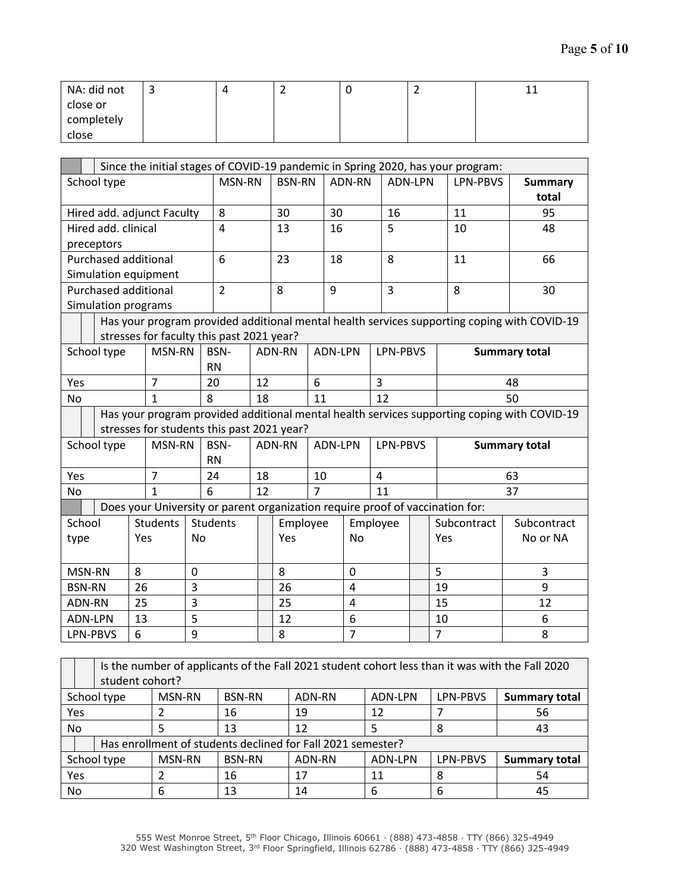| NA: did not | ~ | - | - | - - |
|-------------|---|---|---|-----|
| close or    |   |   |   |     |
| completely  |   |   |   |     |
| close       |   |   |   |     |

|                       | Since the initial stages of COVID-19 pandemic in Spring 2020, has your program:                 |                                                                               |                   |                 |               |                |         |                |                |                |                         |                                                                                             |  |
|-----------------------|-------------------------------------------------------------------------------------------------|-------------------------------------------------------------------------------|-------------------|-----------------|---------------|----------------|---------|----------------|----------------|----------------|-------------------------|---------------------------------------------------------------------------------------------|--|
| School type           |                                                                                                 |                                                                               | MSN-RN            |                 | <b>BSN-RN</b> |                | ADN-RN  |                | <b>ADN-LPN</b> | LPN-PBVS       | <b>Summary</b><br>total |                                                                                             |  |
|                       |                                                                                                 | Hired add. adjunct Faculty                                                    |                   | 8               | 30            |                |         | 30             | 16             |                | 11                      | 95                                                                                          |  |
| Hired add. clinical   |                                                                                                 |                                                                               |                   | $\overline{4}$  | 13            |                |         | 16             | 5              |                | 10                      | 48                                                                                          |  |
| preceptors            |                                                                                                 |                                                                               |                   |                 |               |                |         |                |                |                |                         |                                                                                             |  |
| Purchased additional  |                                                                                                 |                                                                               |                   | 6               |               | 23             |         | 18             | 8              |                | 11                      | 66                                                                                          |  |
|                       |                                                                                                 | Simulation equipment                                                          |                   |                 |               |                |         |                |                |                |                         |                                                                                             |  |
|                       |                                                                                                 | <b>Purchased additional</b>                                                   |                   | $\overline{2}$  |               | 8              |         | 9              | $\overline{3}$ |                | 8                       | 30                                                                                          |  |
|                       |                                                                                                 | Simulation programs                                                           |                   |                 |               |                |         |                |                |                |                         |                                                                                             |  |
|                       |                                                                                                 | stresses for faculty this past 2021 year?                                     |                   |                 |               |                |         |                |                |                |                         | Has your program provided additional mental health services supporting coping with COVID-19 |  |
| School type<br>MSN-RN |                                                                                                 |                                                                               | BSN-<br><b>RN</b> |                 | ADN-RN        |                | ADN-LPN | LPN-PBVS       |                |                | <b>Summary total</b>    |                                                                                             |  |
| Yes                   | $\overline{7}$                                                                                  |                                                                               | 20                | 12              | 6             |                |         | $\overline{3}$ |                | 48             |                         |                                                                                             |  |
| <b>No</b>             | 8<br>$\mathbf{1}$                                                                               |                                                                               |                   | 18              | 11            |                |         | 12             |                | 50             |                         |                                                                                             |  |
|                       |                                                                                                 |                                                                               |                   |                 |               |                |         |                |                |                |                         | Has your program provided additional mental health services supporting coping with COVID-19 |  |
|                       |                                                                                                 | stresses for students this past 2021 year?                                    |                   |                 |               |                |         |                |                |                |                         |                                                                                             |  |
|                       | School type                                                                                     | MSN-RN                                                                        |                   | BSN-            |               | ADN-RN         |         | ADN-LPN        | LPN-PBVS       |                |                         | <b>Summary total</b>                                                                        |  |
|                       |                                                                                                 |                                                                               |                   | <b>RN</b>       |               |                |         |                |                |                |                         |                                                                                             |  |
| Yes                   |                                                                                                 | $\overline{7}$                                                                |                   | 24              | 18            | 10             |         | $\overline{4}$ |                |                |                         | 63                                                                                          |  |
| <b>No</b>             |                                                                                                 | $\mathbf{1}$                                                                  |                   | 6               | 12            | $\overline{7}$ |         |                | 11             |                |                         | 37                                                                                          |  |
|                       |                                                                                                 | Does your University or parent organization require proof of vaccination for: |                   |                 |               |                |         |                |                |                |                         |                                                                                             |  |
| School                |                                                                                                 | <b>Students</b>                                                               |                   | <b>Students</b> |               | Employee       |         |                | Employee       |                | Subcontract             | Subcontract                                                                                 |  |
| type                  |                                                                                                 | Yes                                                                           | No                |                 |               | Yes            |         | <b>No</b>      |                |                | Yes                     | No or NA                                                                                    |  |
| MSN-RN<br>8<br>0      |                                                                                                 |                                                                               |                   | 8               |               | 0              |         |                | 5              | $\overline{3}$ |                         |                                                                                             |  |
| <b>BSN-RN</b>         |                                                                                                 | 26                                                                            | 3                 |                 |               | 26             |         | $\overline{4}$ |                |                | 19                      | 9                                                                                           |  |
| ADN-RN                |                                                                                                 | 25                                                                            | 3                 |                 |               | 25             |         | $\overline{4}$ |                |                | 15                      | 12                                                                                          |  |
| <b>ADN-LPN</b>        |                                                                                                 | 13                                                                            | 5                 |                 |               | 12             |         | 6              |                |                | 10                      | 6                                                                                           |  |
|                       | LPN-PBVS                                                                                        | 6                                                                             | 9                 |                 |               | 8              |         | $\overline{7}$ |                |                | $\overline{7}$          | 8                                                                                           |  |
|                       | Is the number of applicants of the Fall 2021 student cohort less than it was with the Fall 2020 |                                                                               |                   |                 |               |                |         |                |                |                |                         |                                                                                             |  |

|             | is the number of applicants of the Fall 2021 student cohort less than it was with the Fall 2020 |  |               |               |        |         |                 |                      |  |  |  |
|-------------|-------------------------------------------------------------------------------------------------|--|---------------|---------------|--------|---------|-----------------|----------------------|--|--|--|
|             | student cohort?                                                                                 |  |               |               |        |         |                 |                      |  |  |  |
| School type |                                                                                                 |  | MSN-RN        | <b>BSN-RN</b> | ADN-RN | ADN-LPN | <b>LPN-PBVS</b> | <b>Summary total</b> |  |  |  |
| <b>Yes</b>  |                                                                                                 |  |               | 16            | 19     | 12      |                 | 56                   |  |  |  |
| <b>No</b>   |                                                                                                 |  |               | 13            | 12     |         | 8               | 43                   |  |  |  |
|             | Has enrollment of students declined for Fall 2021 semester?                                     |  |               |               |        |         |                 |                      |  |  |  |
| School type |                                                                                                 |  | <b>MSN-RN</b> | <b>BSN-RN</b> | ADN-RN | ADN-LPN | LPN-PBVS        | <b>Summary total</b> |  |  |  |
| Yes         |                                                                                                 |  |               | 16            | 17     | 11      | 8               | 54                   |  |  |  |
| No          |                                                                                                 |  | 6             | 13            | 14     | 6       | 6               | 45                   |  |  |  |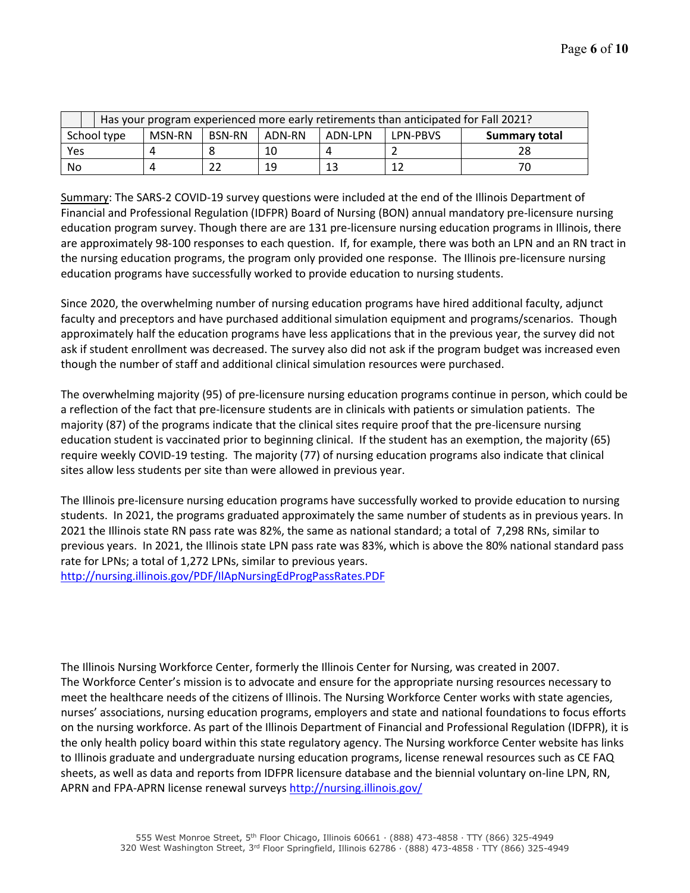|             | Has your program experienced more early retirements than anticipated for Fall 2021? |               |        |         |                 |                      |  |  |  |  |
|-------------|-------------------------------------------------------------------------------------|---------------|--------|---------|-----------------|----------------------|--|--|--|--|
| School type | MSN-RN                                                                              | <b>BSN-RN</b> | ADN-RN | ADN-LPN | <b>LPN-PBVS</b> | <b>Summary total</b> |  |  |  |  |
| Yes         |                                                                                     |               |        |         |                 |                      |  |  |  |  |
| No          |                                                                                     |               | 19     | 13      |                 |                      |  |  |  |  |

Summary: The SARS-2 COVID-19 survey questions were included at the end of the Illinois Department of Financial and Professional Regulation (IDFPR) Board of Nursing (BON) annual mandatory pre-licensure nursing education program survey. Though there are are 131 pre-licensure nursing education programs in Illinois, there are approximately 98-100 responses to each question. If, for example, there was both an LPN and an RN tract in the nursing education programs, the program only provided one response. The Illinois pre-licensure nursing education programs have successfully worked to provide education to nursing students.

Since 2020, the overwhelming number of nursing education programs have hired additional faculty, adjunct faculty and preceptors and have purchased additional simulation equipment and programs/scenarios. Though approximately half the education programs have less applications that in the previous year, the survey did not ask if student enrollment was decreased. The survey also did not ask if the program budget was increased even though the number of staff and additional clinical simulation resources were purchased.

The overwhelming majority (95) of pre-licensure nursing education programs continue in person, which could be a reflection of the fact that pre-licensure students are in clinicals with patients or simulation patients. The majority (87) of the programs indicate that the clinical sites require proof that the pre-licensure nursing education student is vaccinated prior to beginning clinical. If the student has an exemption, the majority (65) require weekly COVID-19 testing. The majority (77) of nursing education programs also indicate that clinical sites allow less students per site than were allowed in previous year.

The Illinois pre-licensure nursing education programs have successfully worked to provide education to nursing students. In 2021, the programs graduated approximately the same number of students as in previous years. In 2021 the Illinois state RN pass rate was 82%, the same as national standard; a total of 7,298 RNs, similar to previous years. In 2021, the Illinois state LPN pass rate was 83%, which is above the 80% national standard pass rate for LPNs; a total of 1,272 LPNs, similar to previous years.

<http://nursing.illinois.gov/PDF/IlApNursingEdProgPassRates.PDF>

The Illinois Nursing Workforce Center, formerly the Illinois Center for Nursing, was created in 2007. The Workforce Center's mission is to advocate and ensure for the appropriate nursing resources necessary to meet the healthcare needs of the citizens of Illinois. The Nursing Workforce Center works with state agencies, nurses' associations, nursing education programs, employers and state and national foundations to focus efforts on the nursing workforce. As part of the Illinois Department of Financial and Professional Regulation (IDFPR), it is the only health policy board within this state regulatory agency. The Nursing workforce Center website has links to Illinois graduate and undergraduate nursing education programs, license renewal resources such as CE FAQ sheets, as well as data and reports from IDFPR licensure database and the biennial voluntary on-line LPN, RN, APRN and FPA-APRN license renewal surveys<http://nursing.illinois.gov/>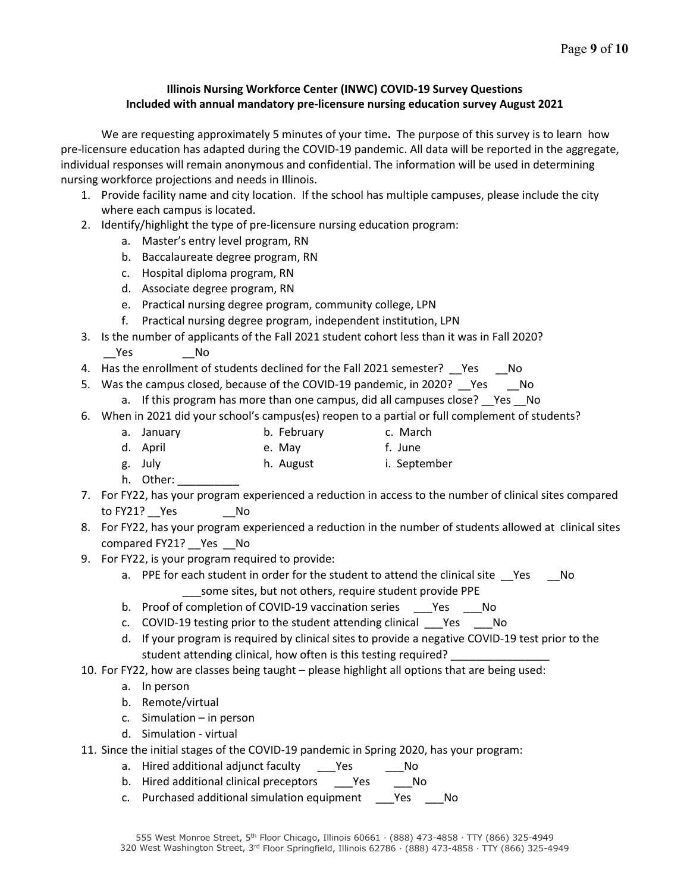## **Illinois Nursing Workforce Center (INWC) COVID-19 Survey Questions Included with annual mandatory pre-licensure nursing education survey August 2021**

We are requesting approximately 5 minutes of your time**.** The purpose of this survey is to learn how pre-licensure education has adapted during the COVID-19 pandemic. All data will be reported in the aggregate, individual responses will remain anonymous and confidential. The information will be used in determining nursing workforce projections and needs in Illinois.

- 1. Provide facility name and city location. If the school has multiple campuses, please include the city where each campus is located.
- 2. Identify/highlight the type of pre-licensure nursing education program:
	- a. Master's entry level program, RN
	- b. Baccalaureate degree program, RN
	- c. Hospital diploma program, RN
	- d. Associate degree program, RN
	- e. Practical nursing degree program, community college, LPN
	- f. Practical nursing degree program, independent institution, LPN
- 3. Is the number of applicants of the Fall 2021 student cohort less than it was in Fall 2020? Yes No
- 4. Has the enrollment of students declined for the Fall 2021 semester? Yes No
- 5. Was the campus closed, because of the COVID-19 pandemic, in 2020? Pes Colo
	- a. If this program has more than one campus, did all campuses close? Yes No
- 6. When in 2021 did your school's campus(es) reopen to a partial or full complement of students?
	- a. January b. February c. March
	- d. April e. May f. June
	- g. July h. August i. September
	- h. Other:
- 7. For FY22, has your program experienced a reduction in access to the number of clinical sites compared to FY21? Yes No
- 8. For FY22, has your program experienced a reduction in the number of students allowed at clinical sites compared FY21? Yes No
- 9. For FY22, is your program required to provide:
	- a. PPE for each student in order for the student to attend the clinical site \_\_Yes \_\_\_No some sites, but not others, require student provide PPE
	- b. Proof of completion of COVID-19 vaccination series Yes No
	- c. COVID-19 testing prior to the student attending clinical \_\_\_Yes \_\_\_No
	- d. If your program is required by clinical sites to provide a negative COVID-19 test prior to the student attending clinical, how often is this testing required?
- 10. For FY22, how are classes being taught please highlight all options that are being used:
	- a. In person
	- b. Remote/virtual
	- c. Simulation in person
	- d. Simulation virtual
- 11. Since the initial stages of the COVID-19 pandemic in Spring 2020, has your program:
	- a. Hired additional adjunct faculty Yes No
	- b. Hired additional clinical preceptors \_\_\_Yes \_\_\_\_No
	- c. Purchased additional simulation equipment \_\_\_Yes \_\_\_No